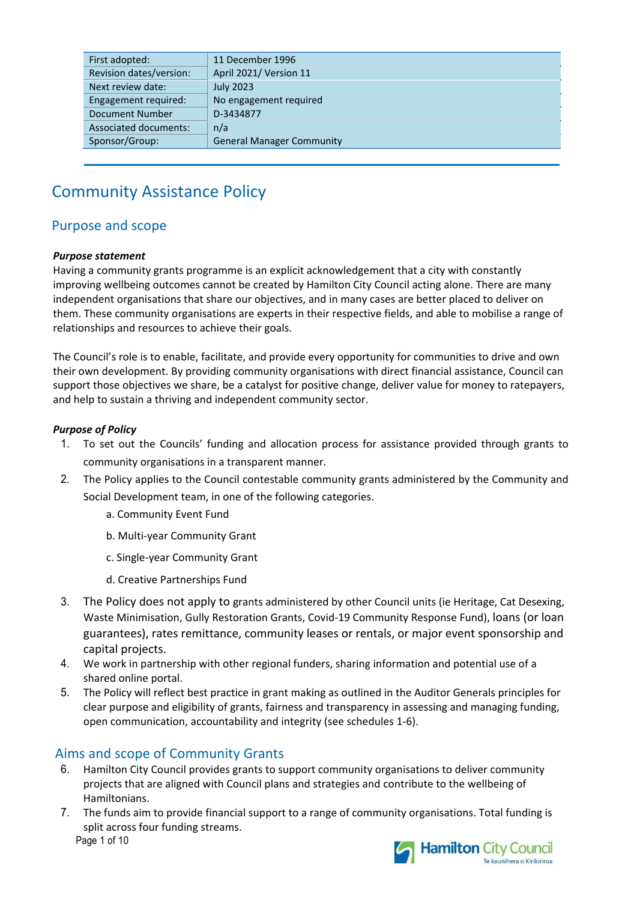| First adopted:               | 11 December 1996                 |
|------------------------------|----------------------------------|
| Revision dates/version:      | April 2021/ Version 11           |
| Next review date:            | <b>July 2023</b>                 |
| Engagement required:         | No engagement required           |
| <b>Document Number</b>       | D-3434877                        |
| <b>Associated documents:</b> | n/a                              |
| Sponsor/Group:               | <b>General Manager Community</b> |
|                              |                                  |

# Community Assistance Policy

## Purpose and scope

#### *Purpose statement*

Having a community grants programme is an explicit acknowledgement that a city with constantly improving wellbeing outcomes cannot be created by Hamilton City Council acting alone. There are many independent organisations that share our objectives, and in many cases are better placed to deliver on them. These community organisations are experts in their respective fields, and able to mobilise a range of relationships and resources to achieve their goals.

The Council's role is to enable, facilitate, and provide every opportunity for communities to drive and own their own development. By providing community organisations with direct financial assistance, Council can support those objectives we share, be a catalyst for positive change, deliver value for money to ratepayers, and help to sustain a thriving and independent community sector.

#### *Purpose of Policy*

- 1. To set out the Councils' funding and allocation process for assistance provided through grants to community organisations in a transparent manner.
- 2. The Policy applies to the Council contestable community grants administered by the Community and Social Development team, in one of the following categories.
	- a. Community Event Fund
	- b. Multi‐year Community Grant
	- c. Single‐year Community Grant
	- d. Creative Partnerships Fund
- 3. The Policy does not apply to grants administered by other Council units (ie Heritage, Cat Desexing, Waste Minimisation, Gully Restoration Grants, Covid‐19 Community Response Fund), loans (or loan guarantees), rates remittance, community leases or rentals, or major event sponsorship and capital projects.
- 4. We work in partnership with other regional funders, sharing information and potential use of a shared online portal.
- 5. The Policy will reflect best practice in grant making as outlined in the Auditor Generals principles for clear purpose and eligibility of grants, fairness and transparency in assessing and managing funding, open communication, accountability and integrity (see schedules 1‐6).

## Aims and scope of Community Grants

- 6. Hamilton City Council provides grants to support community organisations to deliver community projects that are aligned with Council plans and strategies and contribute to the wellbeing of Hamiltonians.
- Page 1 of 10 7. The funds aim to provide financial support to a range of community organisations. Total funding is split across four funding streams.

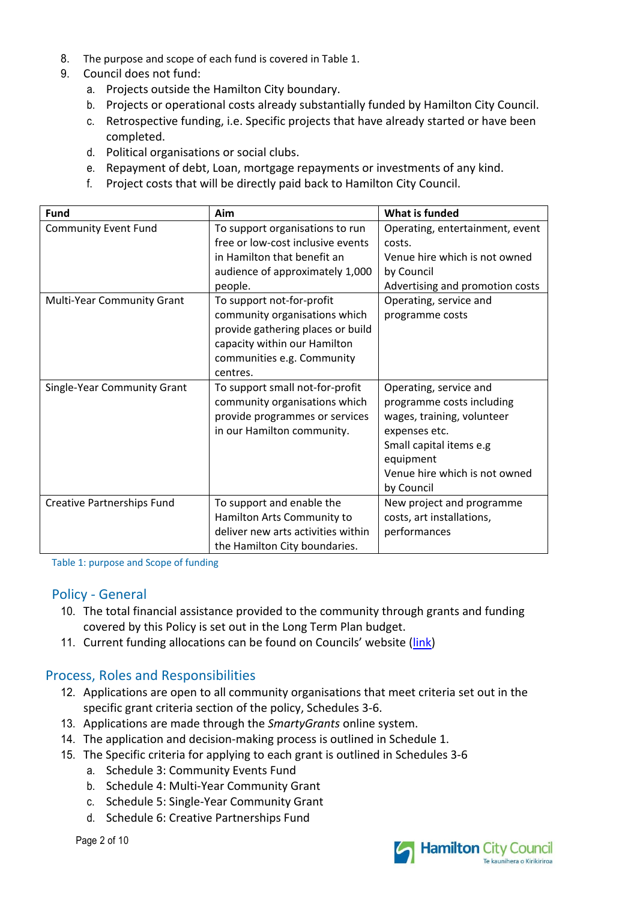- 8. The purpose and scope of each fund is covered in Table 1.
- 9. Council does not fund:
	- a. Projects outside the Hamilton City boundary.
	- b. Projects or operational costs already substantially funded by Hamilton City Council.
	- c. Retrospective funding, i.e. Specific projects that have already started or have been completed.
	- d. Political organisations or social clubs.
	- e. Repayment of debt, Loan, mortgage repayments or investments of any kind.
	- f. Project costs that will be directly paid back to Hamilton City Council.

| <b>Fund</b>                       | Aim                                | <b>What is funded</b>           |
|-----------------------------------|------------------------------------|---------------------------------|
| <b>Community Event Fund</b>       | To support organisations to run    | Operating, entertainment, event |
|                                   | free or low-cost inclusive events  | costs.                          |
|                                   | in Hamilton that benefit an        | Venue hire which is not owned   |
|                                   | audience of approximately 1,000    | by Council                      |
|                                   | people.                            | Advertising and promotion costs |
| Multi-Year Community Grant        | To support not-for-profit          | Operating, service and          |
|                                   | community organisations which      | programme costs                 |
|                                   | provide gathering places or build  |                                 |
|                                   | capacity within our Hamilton       |                                 |
|                                   | communities e.g. Community         |                                 |
|                                   | centres.                           |                                 |
| Single-Year Community Grant       | To support small not-for-profit    | Operating, service and          |
|                                   | community organisations which      | programme costs including       |
|                                   | provide programmes or services     | wages, training, volunteer      |
|                                   | in our Hamilton community.         | expenses etc.                   |
|                                   |                                    | Small capital items e.g         |
|                                   |                                    | equipment                       |
|                                   |                                    | Venue hire which is not owned   |
|                                   |                                    | by Council                      |
| <b>Creative Partnerships Fund</b> | To support and enable the          | New project and programme       |
|                                   | Hamilton Arts Community to         | costs, art installations,       |
|                                   | deliver new arts activities within | performances                    |
|                                   | the Hamilton City boundaries.      |                                 |

Table 1: purpose and Scope of funding

## Policy ‐ General

- 10. The total financial assistance provided to the community through grants and funding covered by this Policy is set out in the Long Term Plan budget.
- 11. Current funding allocations can be found on Councils' website (link)

## Process, Roles and Responsibilities

- 12. Applications are open to all community organisations that meet criteria set out in the specific grant criteria section of the policy, Schedules 3‐6.
- 13. Applications are made through the *SmartyGrants* online system.
- 14. The application and decision-making process is outlined in Schedule 1.
- 15. The Specific criteria for applying to each grant is outlined in Schedules 3‐6
	- a. Schedule 3: Community Events Fund
	- b. Schedule 4: Multi‐Year Community Grant
	- c. Schedule 5: Single‐Year Community Grant
	- d. Schedule 6: Creative Partnerships Fund

Page 2 of 10

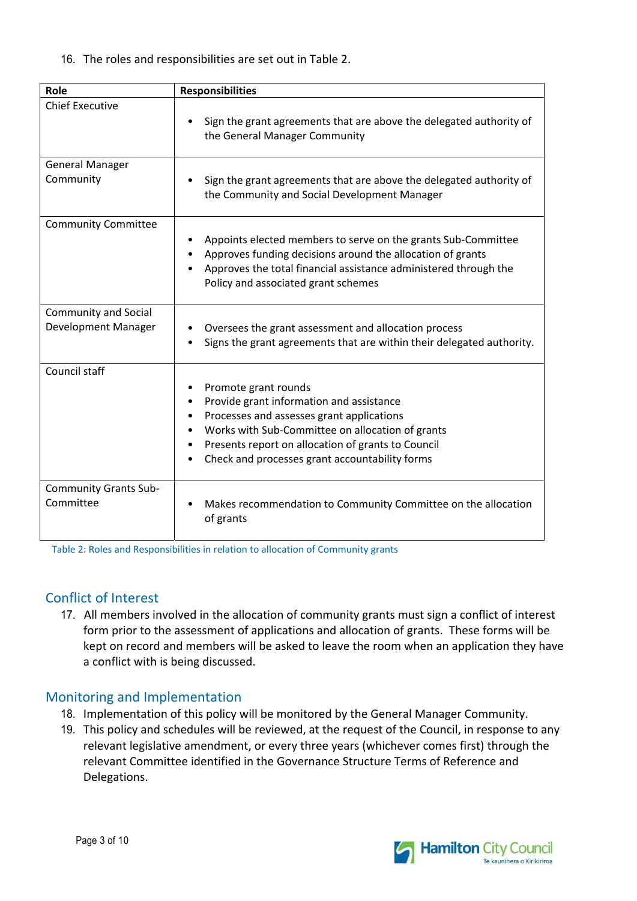16. The roles and responsibilities are set out in Table 2.

| Role                                               | <b>Responsibilities</b>                                                                                                                                                                                                                                                   |
|----------------------------------------------------|---------------------------------------------------------------------------------------------------------------------------------------------------------------------------------------------------------------------------------------------------------------------------|
| <b>Chief Executive</b>                             | Sign the grant agreements that are above the delegated authority of<br>the General Manager Community                                                                                                                                                                      |
| <b>General Manager</b><br>Community                | Sign the grant agreements that are above the delegated authority of<br>the Community and Social Development Manager                                                                                                                                                       |
| <b>Community Committee</b>                         | Appoints elected members to serve on the grants Sub-Committee<br>Approves funding decisions around the allocation of grants<br>Approves the total financial assistance administered through the<br>Policy and associated grant schemes                                    |
| <b>Community and Social</b><br>Development Manager | Oversees the grant assessment and allocation process<br>Signs the grant agreements that are within their delegated authority.                                                                                                                                             |
| Council staff                                      | Promote grant rounds<br>Provide grant information and assistance<br>Processes and assesses grant applications<br>Works with Sub-Committee on allocation of grants<br>Presents report on allocation of grants to Council<br>Check and processes grant accountability forms |
| <b>Community Grants Sub-</b><br>Committee          | Makes recommendation to Community Committee on the allocation<br>of grants                                                                                                                                                                                                |

Table 2: Roles and Responsibilities in relation to allocation of Community grants

## Conflict of Interest

17. All members involved in the allocation of community grants must sign a conflict of interest form prior to the assessment of applications and allocation of grants. These forms will be kept on record and members will be asked to leave the room when an application they have a conflict with is being discussed.

## Monitoring and Implementation

- 18. Implementation of this policy will be monitored by the General Manager Community.
- 19. This policy and schedules will be reviewed, at the request of the Council, in response to any relevant legislative amendment, or every three years (whichever comes first) through the relevant Committee identified in the Governance Structure Terms of Reference and Delegations.

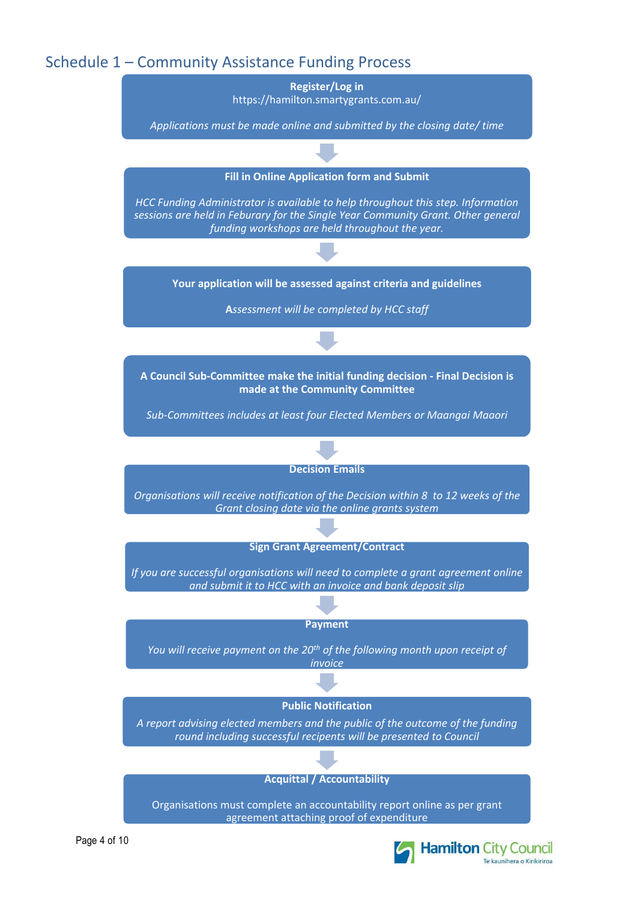## Schedule 1 – Community Assistance Funding Process



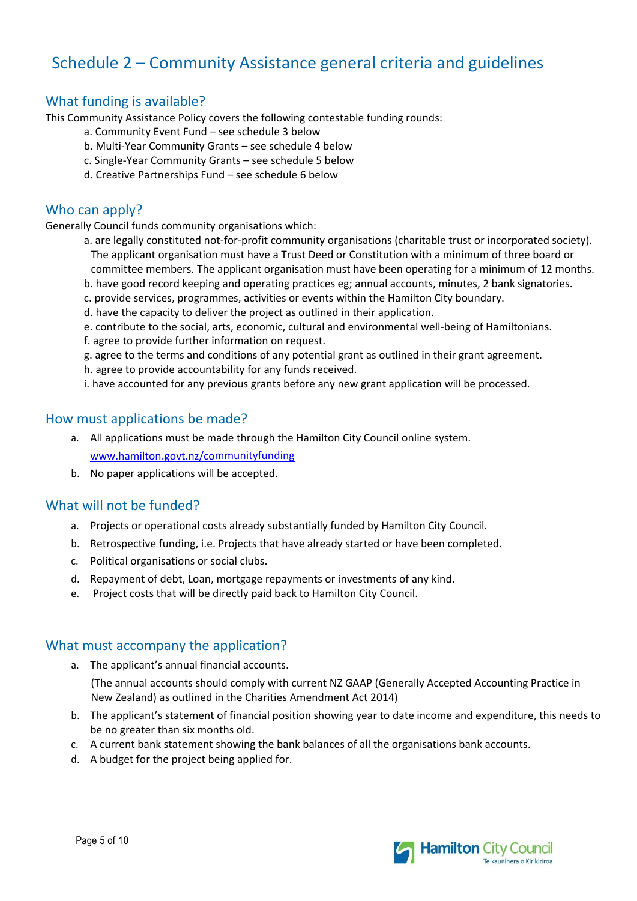# Schedule 2 – Community Assistance general criteria and guidelines

## What funding is available?

This Community Assistance Policy covers the following contestable funding rounds:

- a. Community Event Fund see schedule 3 below
- b. Multi‐Year Community Grants see schedule 4 below
- c. Single‐Year Community Grants see schedule 5 below
- d. Creative Partnerships Fund see schedule 6 below

## Who can apply?

Generally Council funds community organisations which:

- a. are legally constituted not-for-profit community organisations (charitable trust or incorporated society). The applicant organisation must have a Trust Deed or Constitution with a minimum of three board or committee members. The applicant organisation must have been operating for a minimum of 12 months.
- b. have good record keeping and operating practices eg; annual accounts, minutes, 2 bank signatories.
- c. provide services, programmes, activities or events within the Hamilton City boundary.
- d. have the capacity to deliver the project as outlined in their application.
- e. contribute to the social, arts, economic, cultural and environmental well-being of Hamiltonians.
- f. agree to provide further information on request.
- g. agree to the terms and conditions of any potential grant as outlined in their grant agreement.
- h. agree to provide accountability for any funds received.
- i. have accounted for any previous grants before any new grant application will be processed.

#### How must applications be made?

- a. All applications must be made through the Hamilton City Council online system. www.hamilton.govt.nz/communityfunding
- b. No paper applications will be accepted.

## What will not be funded?

- a. Projects or operational costs already substantially funded by Hamilton City Council.
- b. Retrospective funding, i.e. Projects that have already started or have been completed.
- c. Political organisations or social clubs.
- d. Repayment of debt, Loan, mortgage repayments or investments of any kind.
- e. Project costs that will be directly paid back to Hamilton City Council.

#### What must accompany the application?

- a. The applicant's annual financial accounts. (The annual accounts should comply with current NZ GAAP (Generally Accepted Accounting Practice in New Zealand) as outlined in the Charities Amendment Act 2014)
- b. The applicant's statement of financial position showing year to date income and expenditure, this needs to be no greater than six months old.
- c. A current bank statement showing the bank balances of all the organisations bank accounts.
- d. A budget for the project being applied for.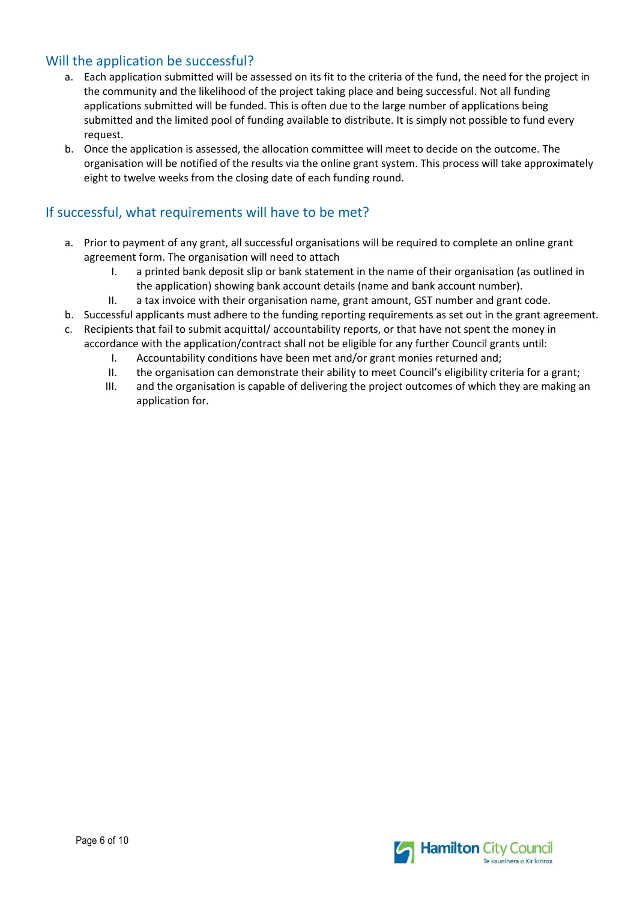## Will the application be successful?

- a. Each application submitted will be assessed on its fit to the criteria of the fund, the need for the project in the community and the likelihood of the project taking place and being successful. Not all funding applications submitted will be funded. This is often due to the large number of applications being submitted and the limited pool of funding available to distribute. It is simply not possible to fund every request.
- b. Once the application is assessed, the allocation committee will meet to decide on the outcome. The organisation will be notified of the results via the online grant system. This process will take approximately eight to twelve weeks from the closing date of each funding round.

### If successful, what requirements will have to be met?

- a. Prior to payment of any grant, all successful organisations will be required to complete an online grant agreement form. The organisation will need to attach
	- I. a printed bank deposit slip or bank statement in the name of their organisation (as outlined in the application) showing bank account details (name and bank account number).
	- II. a tax invoice with their organisation name, grant amount, GST number and grant code.
- b. Successful applicants must adhere to the funding reporting requirements as set out in the grant agreement. c. Recipients that fail to submit acquittal/ accountability reports, or that have not spent the money in
	- accordance with the application/contract shall not be eligible for any further Council grants until:
		- I. Accountability conditions have been met and/or grant monies returned and;
		- II. the organisation can demonstrate their ability to meet Council's eligibility criteria for a grant;
		- III. and the organisation is capable of delivering the project outcomes of which they are making an application for.

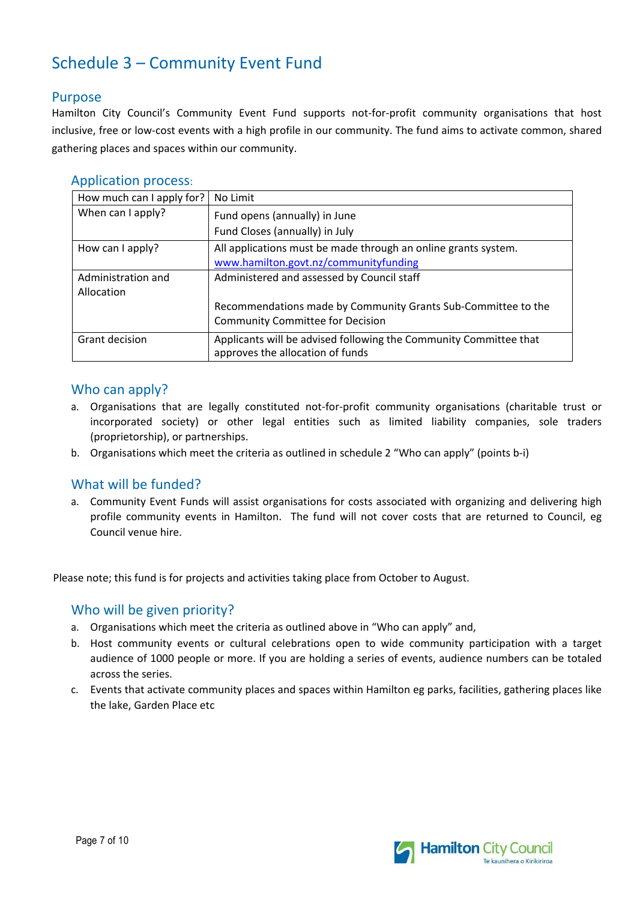# Schedule 3 – Community Event Fund

#### Purpose

Hamilton City Council's Community Event Fund supports not-for-profit community organisations that host inclusive, free or low‐cost events with a high profile in our community. The fund aims to activate common, shared gathering places and spaces within our community.

| How much can I apply for?        | No Limit                                                                                              |
|----------------------------------|-------------------------------------------------------------------------------------------------------|
| When can I apply?                | Fund opens (annually) in June                                                                         |
|                                  | Fund Closes (annually) in July                                                                        |
| How can I apply?                 | All applications must be made through an online grants system.                                        |
|                                  | www.hamilton.govt.nz/communityfunding                                                                 |
| Administration and<br>Allocation | Administered and assessed by Council staff                                                            |
|                                  | Recommendations made by Community Grants Sub-Committee to the                                         |
|                                  | <b>Community Committee for Decision</b>                                                               |
| Grant decision                   | Applicants will be advised following the Community Committee that<br>approves the allocation of funds |

#### Who can apply?

- a. Organisations that are legally constituted not-for-profit community organisations (charitable trust or incorporated society) or other legal entities such as limited liability companies, sole traders (proprietorship), or partnerships.
- b. Organisations which meet the criteria as outlined in schedule 2 "Who can apply" (points b‐i)

## What will be funded?

a. Community Event Funds will assist organisations for costs associated with organizing and delivering high profile community events in Hamilton. The fund will not cover costs that are returned to Council, eg Council venue hire.

Please note; this fund is for projects and activities taking place from October to August.

## Who will be given priority?

- a. Organisations which meet the criteria as outlined above in "Who can apply" and,
- b. Host community events or cultural celebrations open to wide community participation with a target audience of 1000 people or more. If you are holding a series of events, audience numbers can be totaled across the series.
- c. Events that activate community places and spaces within Hamilton eg parks, facilities, gathering places like the lake, Garden Place etc

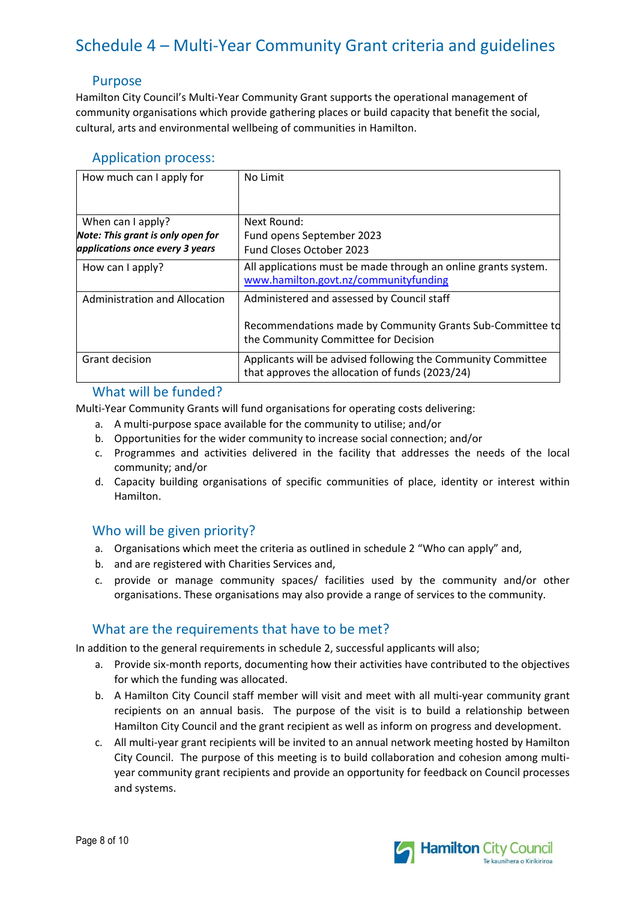# Schedule 4 – Multi‐Year Community Grant criteria and guidelines

#### Purpose

Hamilton City Council's Multi‐Year Community Grant supports the operational management of community organisations which provide gathering places or build capacity that benefit the social, cultural, arts and environmental wellbeing of communities in Hamilton.

|  | <b>Application process:</b> |
|--|-----------------------------|

| How much can I apply for                                                                  | No Limit                                                                                                                                        |
|-------------------------------------------------------------------------------------------|-------------------------------------------------------------------------------------------------------------------------------------------------|
| When can I apply?<br>Note: This grant is only open for<br>applications once every 3 years | Next Round:<br>Fund opens September 2023<br>Fund Closes October 2023                                                                            |
| How can I apply?                                                                          | All applications must be made through an online grants system.<br>www.hamilton.govt.nz/communityfunding                                         |
| Administration and Allocation                                                             | Administered and assessed by Council staff<br>Recommendations made by Community Grants Sub-Committee to<br>the Community Committee for Decision |
| Grant decision                                                                            | Applicants will be advised following the Community Committee<br>that approves the allocation of funds (2023/24)                                 |

#### What will be funded?

Multi‐Year Community Grants will fund organisations for operating costs delivering:

- a. A multi‐purpose space available for the community to utilise; and/or
- b. Opportunities for the wider community to increase social connection; and/or
- c. Programmes and activities delivered in the facility that addresses the needs of the local community; and/or
- d. Capacity building organisations of specific communities of place, identity or interest within Hamilton.

## Who will be given priority?

- a. Organisations which meet the criteria as outlined in schedule 2 "Who can apply" and,
- b. and are registered with Charities Services and,
- c. provide or manage community spaces/ facilities used by the community and/or other organisations. These organisations may also provide a range of services to the community.

## What are the requirements that have to be met?

In addition to the general requirements in schedule 2, successful applicants will also;

- a. Provide six‐month reports, documenting how their activities have contributed to the objectives for which the funding was allocated.
- b. A Hamilton City Council staff member will visit and meet with all multi-year community grant recipients on an annual basis. The purpose of the visit is to build a relationship between Hamilton City Council and the grant recipient as well as inform on progress and development.
- c. All multi‐year grant recipients will be invited to an annual network meeting hosted by Hamilton City Council. The purpose of this meeting is to build collaboration and cohesion among multi‐ year community grant recipients and provide an opportunity for feedback on Council processes and systems.

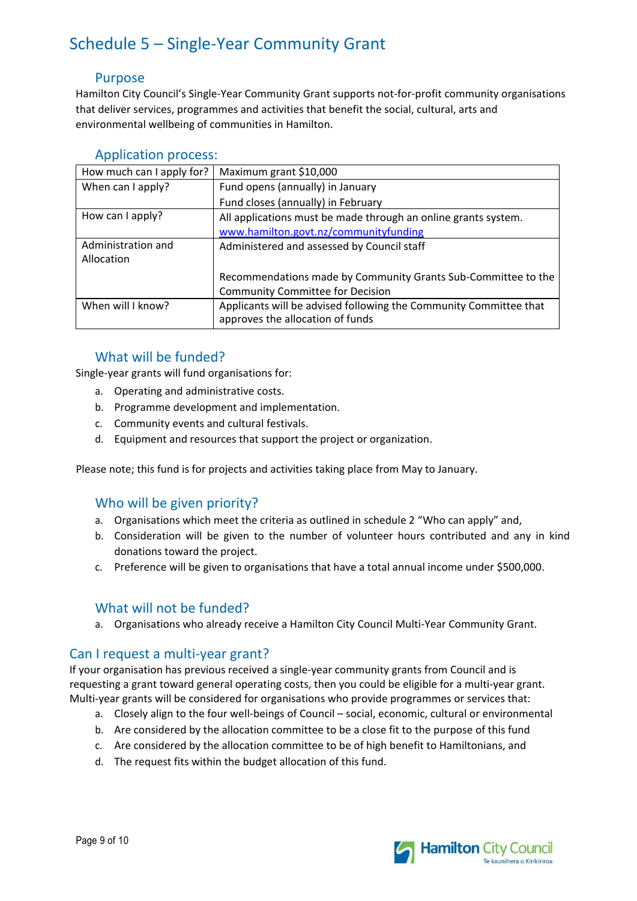# Schedule 5 – Single‐Year Community Grant

#### Purpose

Hamilton City Council's Single‐Year Community Grant supports not‐for‐profit community organisations that deliver services, programmes and activities that benefit the social, cultural, arts and environmental wellbeing of communities in Hamilton.

| How much can I apply for?        | Maximum grant \$10,000                                                                                |
|----------------------------------|-------------------------------------------------------------------------------------------------------|
| When can I apply?                | Fund opens (annually) in January                                                                      |
|                                  | Fund closes (annually) in February                                                                    |
| How can I apply?                 | All applications must be made through an online grants system.                                        |
|                                  | www.hamilton.govt.nz/communityfunding                                                                 |
| Administration and<br>Allocation | Administered and assessed by Council staff                                                            |
|                                  | Recommendations made by Community Grants Sub-Committee to the                                         |
|                                  | <b>Community Committee for Decision</b>                                                               |
| When will I know?                | Applicants will be advised following the Community Committee that<br>approves the allocation of funds |

#### Application process:

## What will be funded?

Single‐year grants will fund organisations for:

- a. Operating and administrative costs.
- b. Programme development and implementation.
- c. Community events and cultural festivals.
- d. Equipment and resources that support the project or organization.

Please note; this fund is for projects and activities taking place from May to January.

#### Who will be given priority?

- a. Organisations which meet the criteria as outlined in schedule 2 "Who can apply" and,
- b. Consideration will be given to the number of volunteer hours contributed and any in kind donations toward the project.
- c. Preference will be given to organisations that have a total annual income under \$500,000.

## What will not be funded?

a. Organisations who already receive a Hamilton City Council Multi‐Year Community Grant.

#### Can I request a multi‐year grant?

If your organisation has previous received a single‐year community grants from Council and is requesting a grant toward general operating costs, then you could be eligible for a multi-year grant. Multi-year grants will be considered for organisations who provide programmes or services that:

- a. Closely align to the four well‐beings of Council social, economic, cultural or environmental
- b. Are considered by the allocation committee to be a close fit to the purpose of this fund
- c. Are considered by the allocation committee to be of high benefit to Hamiltonians, and
- d. The request fits within the budget allocation of this fund.